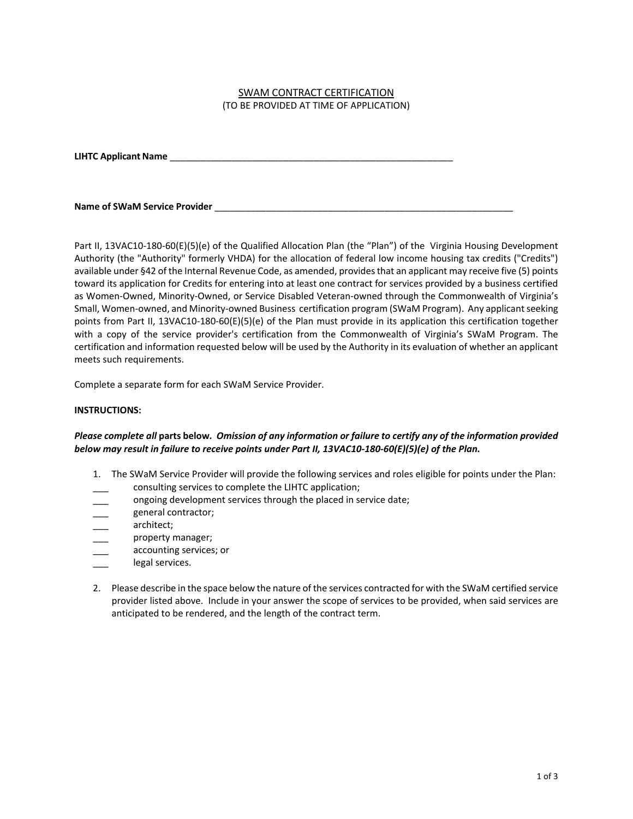## SWAM CONTRACT CERTIFICATION (TO BE PROVIDED AT TIME OF APPLICATION)

**LIHTC Applicant Name** \_\_\_\_\_\_\_\_\_\_\_\_\_\_\_\_\_\_\_\_\_\_\_\_\_\_\_\_\_\_\_\_\_\_\_\_\_\_\_\_\_\_\_\_\_\_\_\_\_\_\_\_\_\_\_

**Name of SWaM Service Provider**  $\blacksquare$ 

Part II, 13VAC10-180-60(E)(5)(e) of the Qualified Allocation Plan (the "Plan") of the Virginia Housing Development Authority (the "Authority" formerly VHDA) for the allocation of federal low income housing tax credits ("Credits") available under §42 of the Internal Revenue Code, as amended, provides that an applicant may receive five (5) points toward its application for Credits for entering into at least one contract for services provided by a business certified as Women-Owned, Minority-Owned, or Service Disabled Veteran-owned through the Commonwealth of Virginia's Small, Women-owned, and Minority-owned Business certification program (SWaM Program). Any applicant seeking points from Part II, 13VAC10-180-60(E)(5)(e) of the Plan must provide in its application this certification together with a copy of the service provider's certification from the Commonwealth of Virginia's SWaM Program. The certification and information requested below will be used by the Authority in its evaluation of whether an applicant meets such requirements.

Complete a separate form for each SWaM Service Provider.

## **INSTRUCTIONS:**

## *Please complete all* **parts below***. Omission of any information or failure to certify any of the information provided below may result in failure to receive points under Part II, 13VAC10-180-60(E)(5)(e) of the Plan.*

- 1. The SWaM Service Provider will provide the following services and roles eligible for points under the Plan:
- consulting services to complete the LIHTC application;
- ongoing development services through the placed in service date;
- general contractor;
- architect;
- property manager;
- accounting services; or
- legal services.
- 2. Please describe in the space below the nature of the services contracted for with the SWaM certified service provider listed above. Include in your answer the scope of services to be provided, when said services are anticipated to be rendered, and the length of the contract term.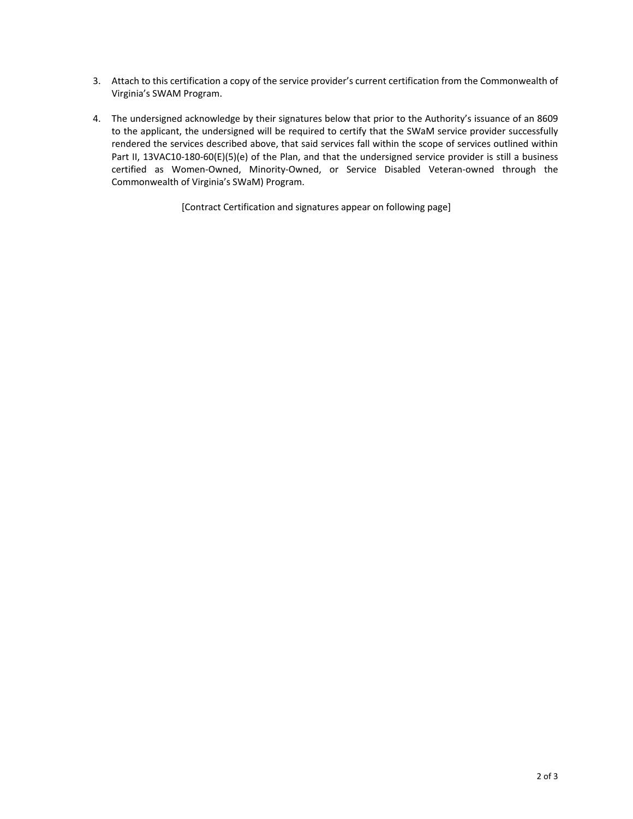- 3. Attach to this certification a copy of the service provider's current certification from the Commonwealth of Virginia's SWAM Program.
- 4. The undersigned acknowledge by their signatures below that prior to the Authority's issuance of an 8609 to the applicant, the undersigned will be required to certify that the SWaM service provider successfully rendered the services described above, that said services fall within the scope of services outlined within Part II, 13VAC10-180-60(E)(5)(e) of the Plan, and that the undersigned service provider is still a business certified as Women-Owned, Minority-Owned, or Service Disabled Veteran-owned through the Commonwealth of Virginia's SWaM) Program.

[Contract Certification and signatures appear on following page]